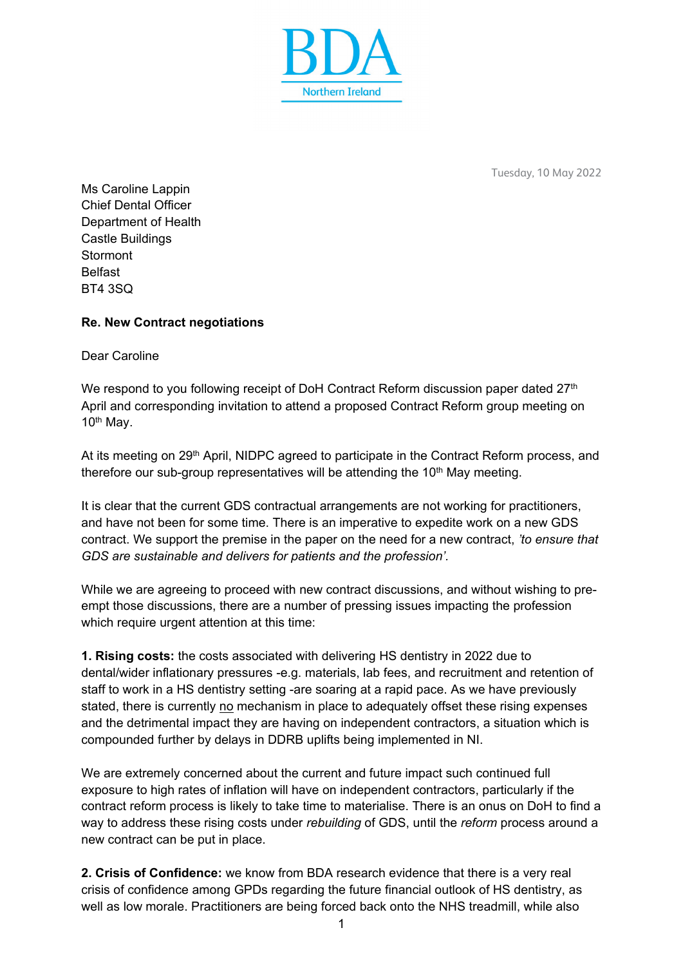

Tuesday, 10 May 2022

Ms Caroline Lappin Chief Dental Officer Department of Health Castle Buildings Stormont Belfast BT4 3SQ

## **Re. New Contract negotiations**

Dear Caroline

We respond to you following receipt of DoH Contract Reform discussion paper dated 27<sup>th</sup> April and corresponding invitation to attend a proposed Contract Reform group meeting on  $10<sup>th</sup>$  Mav.

At its meeting on 29<sup>th</sup> April, NIDPC agreed to participate in the Contract Reform process, and therefore our sub-group representatives will be attending the  $10<sup>th</sup>$  May meeting.

It is clear that the current GDS contractual arrangements are not working for practitioners, and have not been for some time. There is an imperative to expedite work on a new GDS contract. We support the premise in the paper on the need for a new contract, *'to ensure that GDS are sustainable and delivers for patients and the profession'.* 

While we are agreeing to proceed with new contract discussions, and without wishing to preempt those discussions, there are a number of pressing issues impacting the profession which require urgent attention at this time:

**1. Rising costs:** the costs associated with delivering HS dentistry in 2022 due to dental/wider inflationary pressures -e.g. materials, lab fees, and recruitment and retention of staff to work in a HS dentistry setting -are soaring at a rapid pace. As we have previously stated, there is currently no mechanism in place to adequately offset these rising expenses and the detrimental impact they are having on independent contractors, a situation which is compounded further by delays in DDRB uplifts being implemented in NI.

We are extremely concerned about the current and future impact such continued full exposure to high rates of inflation will have on independent contractors, particularly if the contract reform process is likely to take time to materialise. There is an onus on DoH to find a way to address these rising costs under *rebuilding* of GDS, until the *reform* process around a new contract can be put in place.

**2. Crisis of Confidence:** we know from BDA research evidence that there is a very real crisis of confidence among GPDs regarding the future financial outlook of HS dentistry, as well as low morale. Practitioners are being forced back onto the NHS treadmill, while also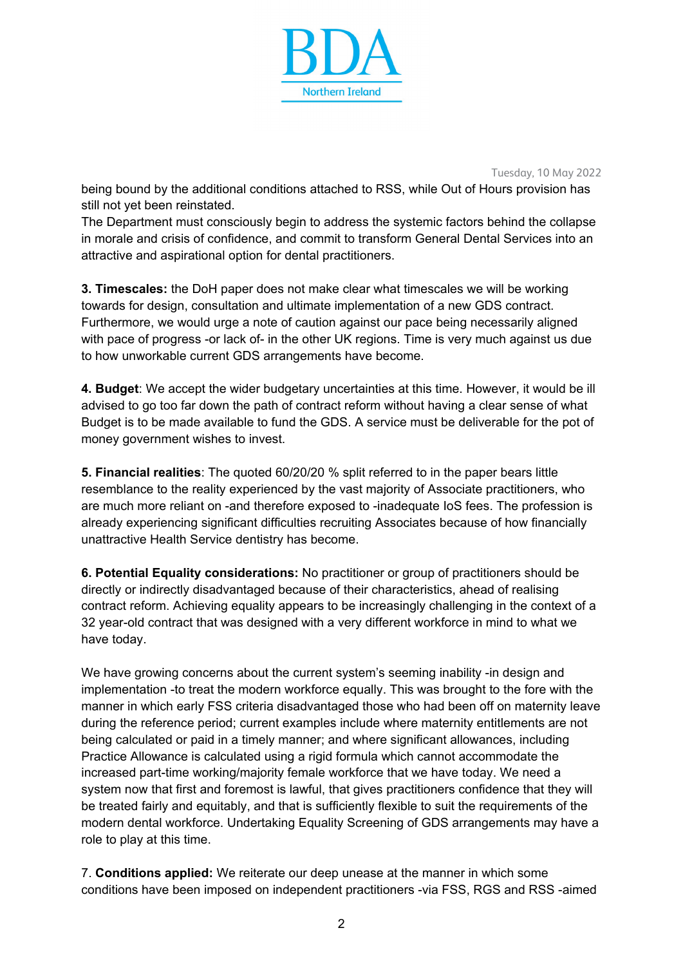

Tuesday, 10 May 2022

being bound by the additional conditions attached to RSS, while Out of Hours provision has still not yet been reinstated.

The Department must consciously begin to address the systemic factors behind the collapse in morale and crisis of confidence, and commit to transform General Dental Services into an attractive and aspirational option for dental practitioners.

**3. Timescales:** the DoH paper does not make clear what timescales we will be working towards for design, consultation and ultimate implementation of a new GDS contract. Furthermore, we would urge a note of caution against our pace being necessarily aligned with pace of progress -or lack of- in the other UK regions. Time is very much against us due to how unworkable current GDS arrangements have become.

**4. Budget**: We accept the wider budgetary uncertainties at this time. However, it would be ill advised to go too far down the path of contract reform without having a clear sense of what Budget is to be made available to fund the GDS. A service must be deliverable for the pot of money government wishes to invest.

**5. Financial realities**: The quoted 60/20/20 % split referred to in the paper bears little resemblance to the reality experienced by the vast majority of Associate practitioners, who are much more reliant on -and therefore exposed to -inadequate IoS fees. The profession is already experiencing significant difficulties recruiting Associates because of how financially unattractive Health Service dentistry has become.

**6. Potential Equality considerations:** No practitioner or group of practitioners should be directly or indirectly disadvantaged because of their characteristics, ahead of realising contract reform. Achieving equality appears to be increasingly challenging in the context of a 32 year-old contract that was designed with a very different workforce in mind to what we have today.

We have growing concerns about the current system's seeming inability -in design and implementation -to treat the modern workforce equally. This was brought to the fore with the manner in which early FSS criteria disadvantaged those who had been off on maternity leave during the reference period; current examples include where maternity entitlements are not being calculated or paid in a timely manner; and where significant allowances, including Practice Allowance is calculated using a rigid formula which cannot accommodate the increased part-time working/majority female workforce that we have today. We need a system now that first and foremost is lawful, that gives practitioners confidence that they will be treated fairly and equitably, and that is sufficiently flexible to suit the requirements of the modern dental workforce. Undertaking Equality Screening of GDS arrangements may have a role to play at this time.

7. **Conditions applied:** We reiterate our deep unease at the manner in which some conditions have been imposed on independent practitioners -via FSS, RGS and RSS -aimed